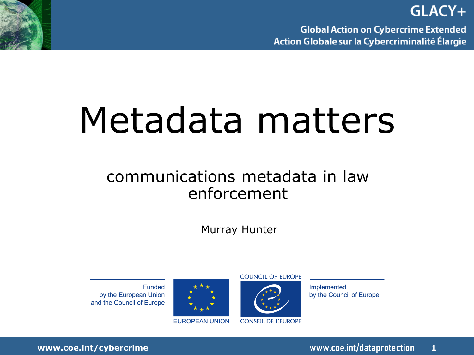

**Global Action on Cybercrime Extended** Action Globale sur la Cybercriminalité Élargie

# Metadata matters

### communications metadata in law enforcement

Murray Hunter

Funded by the European Union and the Council of Europe



**EUROPEAN UNION** 

**COUNCIL OF EUROPE** 



Implemented by the Council of Europe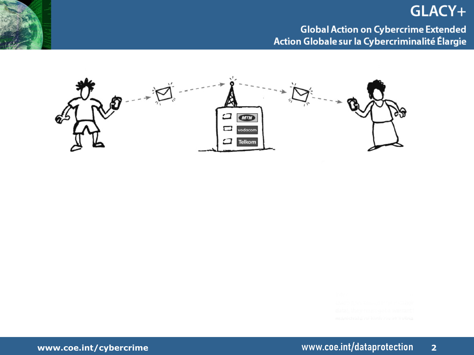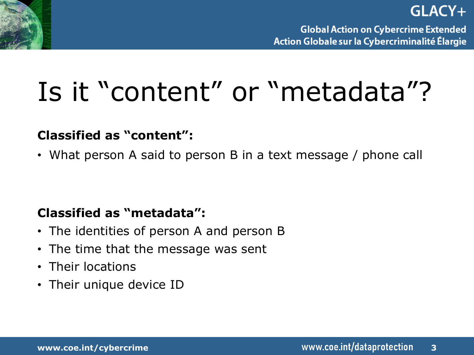

**Global Action on Cybercrime Extended** Action Globale sur la Cybercriminalité Élargie

 $GLACY+$ 

## Is it "content" or "metadata"?

#### **Classified as "content":**

• What person A said to person B in a text message / phone call

#### **Classified as "metadata":**

- The identities of person A and person B
- The time that the message was sent
- Their locations
- Their unique device ID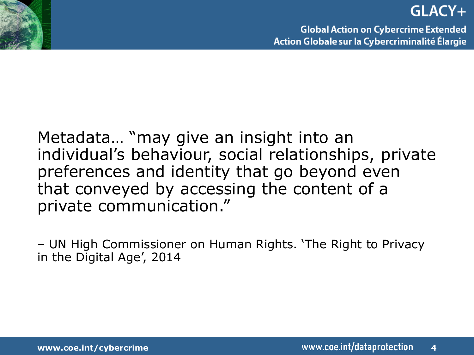

## Metadata… "may give an insight into an individual's behaviour, social relationships, private preferences and identity that go beyond even that conveyed by accessing the content of a private communication."

– UN High Commissioner on Human Rights. 'The Right to Privacy in the Digital Age', 2014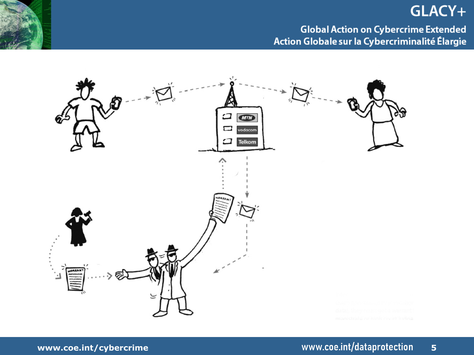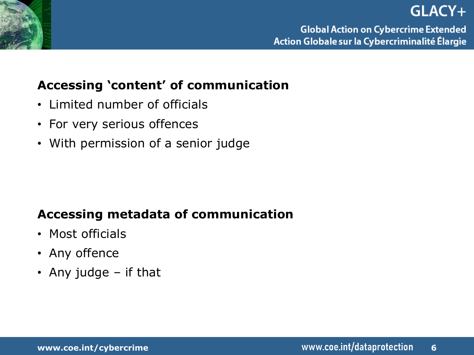

#### **Accessing 'content' of communication**

- Limited number of officials
- For very serious offences
- With permission of a senior judge

#### **Accessing metadata of communication**

- Most officials
- Any offence
- Any judge if that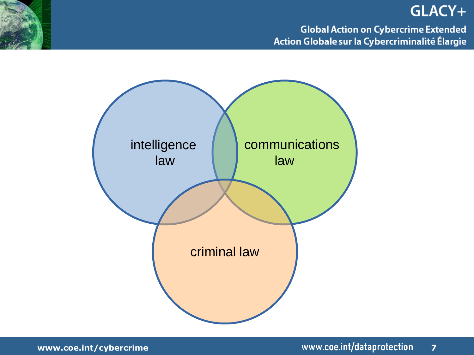

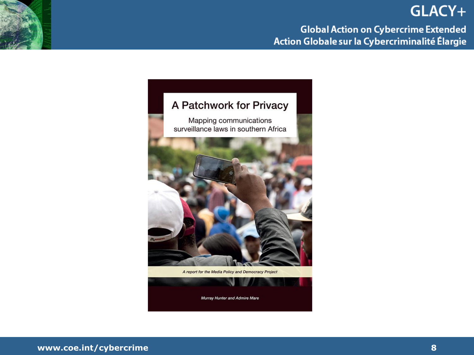**Global Action on Cybercrime Extended** Action Globale sur la Cybercriminalité Élargie



**www.coe.int/cybercrime 8**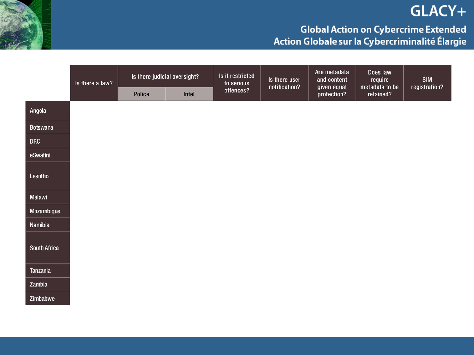|              | Is there a law? | Is there judicial oversight? |       | Is it restricted<br>to serious | Is there user<br>notification? | Are metadata<br>and content<br>given equal | Does law<br>require<br>metadata to be | SIM<br>registration? |
|--------------|-----------------|------------------------------|-------|--------------------------------|--------------------------------|--------------------------------------------|---------------------------------------|----------------------|
|              |                 | Police                       | Intel | offences?                      |                                | protection?                                | retained?                             |                      |
| Angola       |                 |                              |       |                                |                                |                                            |                                       |                      |
| Botswana     |                 |                              |       |                                |                                |                                            |                                       |                      |
| <b>DRC</b>   |                 |                              |       |                                |                                |                                            |                                       |                      |
| eSwatini     |                 |                              |       |                                |                                |                                            |                                       |                      |
| Lesotho      |                 |                              |       |                                |                                |                                            |                                       |                      |
| Malawi       |                 |                              |       |                                |                                |                                            |                                       |                      |
| Mozambique   |                 |                              |       |                                |                                |                                            |                                       |                      |
| Namibia      |                 |                              |       |                                |                                |                                            |                                       |                      |
| South Africa |                 |                              |       |                                |                                |                                            |                                       |                      |
| Tanzania     |                 |                              |       |                                |                                |                                            |                                       |                      |
| Zambia       |                 |                              |       |                                |                                |                                            |                                       |                      |
| Zimbabwe     |                 |                              |       |                                |                                |                                            |                                       |                      |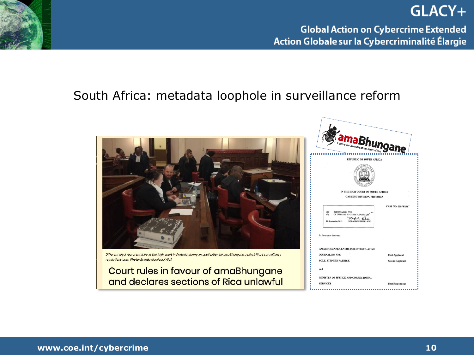#### South Africa: metadata loophole in surveillance reform



Court rules in favour of amaBhungane and declares sections of Rica unlawful

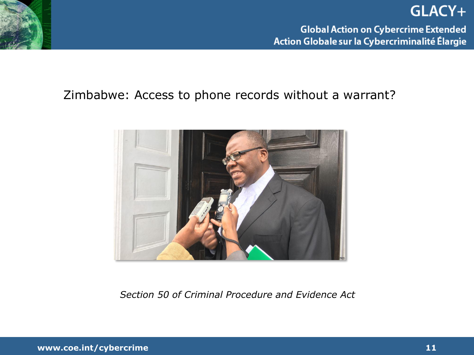

#### Zimbabwe: Access to phone records without a warrant?



*Section 50 of Criminal Procedure and Evidence Act* 

**www.coe.int/cybercrime 11**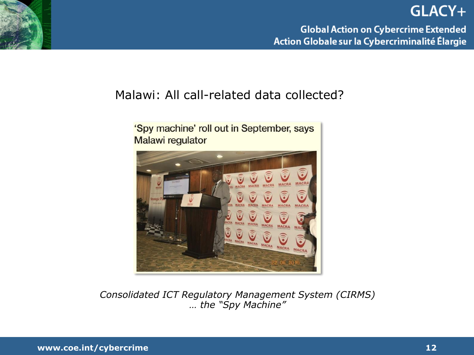#### Malawi: All call-related data collected?

'Spy machine' roll out in September, says **Malawi regulator** 



*Consolidated ICT Regulatory Management System (CIRMS) … the "Spy Machine"*

**www.coe.int/cybercrime 12**